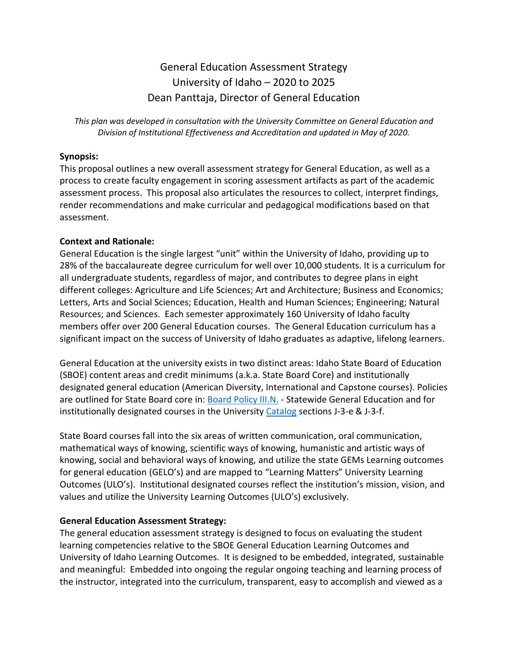# General Education Assessment Strategy University of Idaho – 2020 to 2025 Dean Panttaja, Director of General Education

*This plan was developed in consultation with the University Committee on General Education and Division of Institutional Effectiveness and Accreditation and updated in May of 2020.*

#### **Synopsis:**

This proposal outlines a new overall assessment strategy for General Education, as well as a process to create faculty engagement in scoring assessment artifacts as part of the academic assessment process. This proposal also articulates the resources to collect, interpret findings, render recommendations and make curricular and pedagogical modifications based on that assessment.

#### **Context and Rationale:**

General Education is the single largest "unit" within the University of Idaho, providing up to 28% of the baccalaureate degree curriculum for well over 10,000 students. It is a curriculum for all undergraduate students, regardless of major, and contributes to degree plans in eight different colleges: Agriculture and Life Sciences; Art and Architecture; Business and Economics; Letters, Arts and Social Sciences; Education, Health and Human Sciences; Engineering; Natural Resources; and Sciences. Each semester approximately 160 University of Idaho faculty members offer over 200 General Education courses. The General Education curriculum has a significant impact on the success of University of Idaho graduates as adaptive, lifelong learners.

General Education at the university exists in two distinct areas: Idaho State Board of Education (SBOE) content areas and credit minimums (a.k.a. State Board Core) and institutionally designated general education (American Diversity, International and Capstone courses). Policies are outlined for State Board core in: [Board Policy III.N.](https://boardofed.idaho.gov/board-policies-rules/board-policies/higher-education-affairs-section-iii/iii-n-general-education/) - Statewide General Education and for institutionally designated courses in the University [Catalog](https://catalog.uidaho.edu/general-requirements-academic-procedures/j-general-requirements-baccalaureate-degrees/) sections J-3-e & J-3-f.

State Board courses fall into the six areas of written communication, oral communication, mathematical ways of knowing, scientific ways of knowing, humanistic and artistic ways of knowing, social and behavioral ways of knowing, and utilize the state GEMs Learning outcomes for general education (GELO's) and are mapped to "Learning Matters" University Learning Outcomes (ULO's). Institutional designated courses reflect the institution's mission, vision, and values and utilize the University Learning Outcomes (ULO's) exclusively.

#### **General Education Assessment Strategy:**

The general education assessment strategy is designed to focus on evaluating the student learning competencies relative to the SBOE General Education Learning Outcomes and University of Idaho Learning Outcomes. It is designed to be embedded, integrated, sustainable and meaningful: Embedded into ongoing the regular ongoing teaching and learning process of the instructor, integrated into the curriculum, transparent, easy to accomplish and viewed as a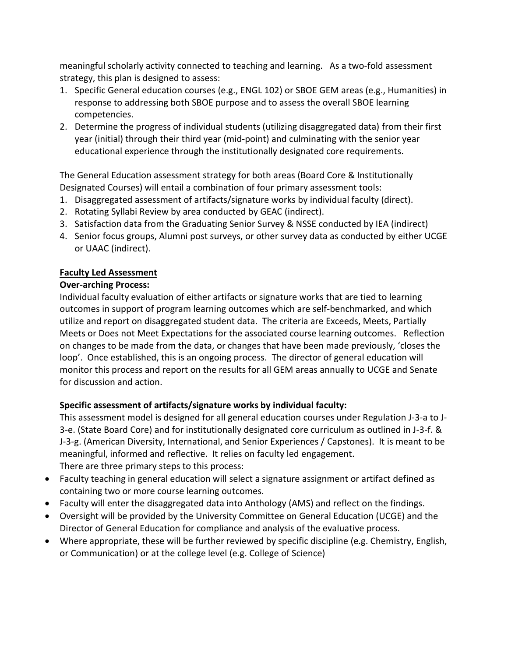meaningful scholarly activity connected to teaching and learning. As a two-fold assessment strategy, this plan is designed to assess:

- 1. Specific General education courses (e.g., ENGL 102) or SBOE GEM areas (e.g., Humanities) in response to addressing both SBOE purpose and to assess the overall SBOE learning competencies.
- 2. Determine the progress of individual students (utilizing disaggregated data) from their first year (initial) through their third year (mid-point) and culminating with the senior year educational experience through the institutionally designated core requirements.

The General Education assessment strategy for both areas (Board Core & Institutionally Designated Courses) will entail a combination of four primary assessment tools:

- 1. Disaggregated assessment of artifacts/signature works by individual faculty (direct).
- 2. Rotating Syllabi Review by area conducted by GEAC (indirect).
- 3. Satisfaction data from the Graduating Senior Survey & NSSE conducted by IEA (indirect)
- 4. Senior focus groups, Alumni post surveys, or other survey data as conducted by either UCGE or UAAC (indirect).

#### **Faculty Led Assessment**

#### **Over-arching Process:**

Individual faculty evaluation of either artifacts or signature works that are tied to learning outcomes in support of program learning outcomes which are self-benchmarked, and which utilize and report on disaggregated student data. The criteria are Exceeds, Meets, Partially Meets or Does not Meet Expectations for the associated course learning outcomes. Reflection on changes to be made from the data, or changes that have been made previously, 'closes the loop'. Once established, this is an ongoing process. The director of general education will monitor this process and report on the results for all GEM areas annually to UCGE and Senate for discussion and action.

### **Specific assessment of artifacts/signature works by individual faculty:**

This assessment model is designed for all general education courses under Regulation J-3-a to J-3-e. (State Board Core) and for institutionally designated core curriculum as outlined in J-3-f. & J-3-g. (American Diversity, International, and Senior Experiences / Capstones). It is meant to be meaningful, informed and reflective. It relies on faculty led engagement. There are three primary steps to this process:

- Faculty teaching in general education will select a signature assignment or artifact defined as containing two or more course learning outcomes.
- Faculty will enter the disaggregated data into Anthology (AMS) and reflect on the findings.
- Oversight will be provided by the University Committee on General Education (UCGE) and the Director of General Education for compliance and analysis of the evaluative process.
- Where appropriate, these will be further reviewed by specific discipline (e.g. Chemistry, English, or Communication) or at the college level (e.g. College of Science)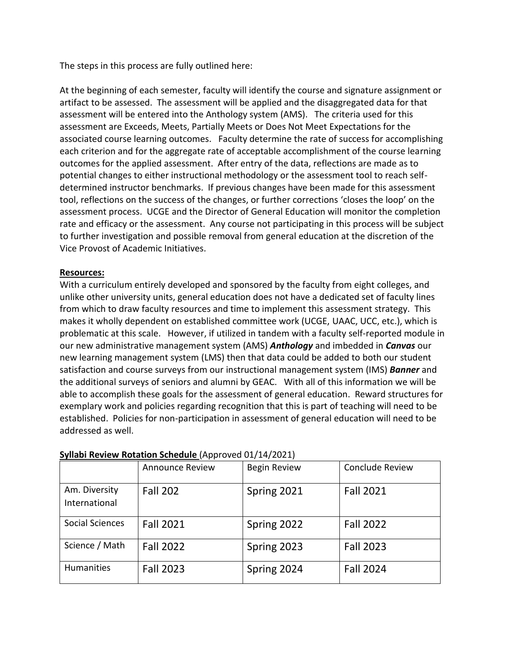The steps in this process are fully outlined here:

At the beginning of each semester, faculty will identify the course and signature assignment or artifact to be assessed. The assessment will be applied and the disaggregated data for that assessment will be entered into the Anthology system (AMS). The criteria used for this assessment are Exceeds, Meets, Partially Meets or Does Not Meet Expectations for the associated course learning outcomes. Faculty determine the rate of success for accomplishing each criterion and for the aggregate rate of acceptable accomplishment of the course learning outcomes for the applied assessment. After entry of the data, reflections are made as to potential changes to either instructional methodology or the assessment tool to reach selfdetermined instructor benchmarks. If previous changes have been made for this assessment tool, reflections on the success of the changes, or further corrections 'closes the loop' on the assessment process. UCGE and the Director of General Education will monitor the completion rate and efficacy or the assessment. Any course not participating in this process will be subject to further investigation and possible removal from general education at the discretion of the Vice Provost of Academic Initiatives.

#### **Resources:**

With a curriculum entirely developed and sponsored by the faculty from eight colleges, and unlike other university units, general education does not have a dedicated set of faculty lines from which to draw faculty resources and time to implement this assessment strategy. This makes it wholly dependent on established committee work (UCGE, UAAC, UCC, etc.), which is problematic at this scale. However, if utilized in tandem with a faculty self-reported module in our new administrative management system (AMS) *Anthology* and imbedded in *Canvas* our new learning management system (LMS) then that data could be added to both our student satisfaction and course surveys from our instructional management system (IMS) *Banner* and the additional surveys of seniors and alumni by GEAC. With all of this information we will be able to accomplish these goals for the assessment of general education. Reward structures for exemplary work and policies regarding recognition that this is part of teaching will need to be established. Policies for non-participation in assessment of general education will need to be addressed as well.

|                                | <b>Announce Review</b> | <b>Begin Review</b> | <b>Conclude Review</b> |
|--------------------------------|------------------------|---------------------|------------------------|
| Am. Diversity<br>International | <b>Fall 202</b>        | Spring 2021         | <b>Fall 2021</b>       |
| Social Sciences                | <b>Fall 2021</b>       | Spring 2022         | <b>Fall 2022</b>       |
| Science / Math                 | <b>Fall 2022</b>       | Spring 2023         | <b>Fall 2023</b>       |
| <b>Humanities</b>              | <b>Fall 2023</b>       | Spring 2024         | <b>Fall 2024</b>       |

#### **Syllabi Review Rotation Schedule** (Approved 01/14/2021)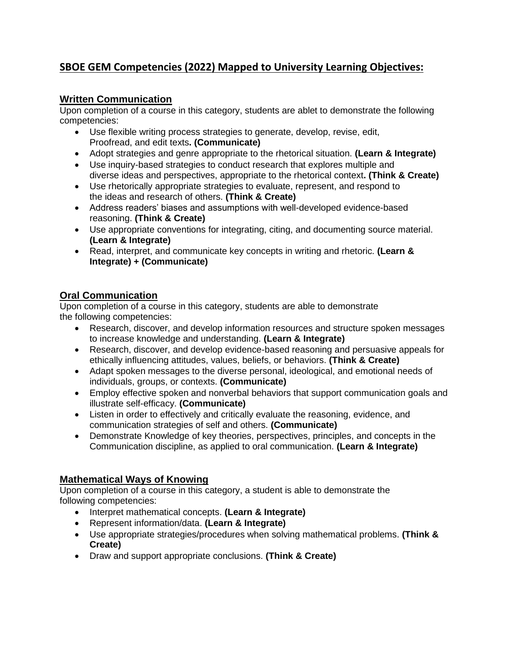# **SBOE GEM Competencies (2022) Mapped to University Learning Objectives:**

### **Written Communication**

Upon completion of a course in this category, students are ablet to demonstrate the following competencies:

- Use flexible writing process strategies to generate, develop, revise, edit, Proofread, and edit texts**. (Communicate)**
- Adopt strategies and genre appropriate to the rhetorical situation. **(Learn & Integrate)**
- Use inquiry-based strategies to conduct research that explores multiple and diverse ideas and perspectives, appropriate to the rhetorical context**. (Think & Create)**
- Use rhetorically appropriate strategies to evaluate, represent, and respond to the ideas and research of others. **(Think & Create)**
- Address readers' biases and assumptions with well-developed evidence-based reasoning. **(Think & Create)**
- Use appropriate conventions for integrating, citing, and documenting source material. **(Learn & Integrate)**
- Read, interpret, and communicate key concepts in writing and rhetoric. **(Learn & Integrate) + (Communicate)**

### **Oral Communication**

Upon completion of a course in this category, students are able to demonstrate the following competencies:

- Research, discover, and develop information resources and structure spoken messages to increase knowledge and understanding. **(Learn & Integrate)**
- Research, discover, and develop evidence-based reasoning and persuasive appeals for ethically influencing attitudes, values, beliefs, or behaviors. **(Think & Create)**
- Adapt spoken messages to the diverse personal, ideological, and emotional needs of individuals, groups, or contexts. **(Communicate)**
- Employ effective spoken and nonverbal behaviors that support communication goals and illustrate self-efficacy. **(Communicate)**
- Listen in order to effectively and critically evaluate the reasoning, evidence, and communication strategies of self and others. **(Communicate)**
- Demonstrate Knowledge of key theories, perspectives, principles, and concepts in the Communication discipline, as applied to oral communication. **(Learn & Integrate)**

## **Mathematical Ways of Knowing**

Upon completion of a course in this category, a student is able to demonstrate the following competencies:

- Interpret mathematical concepts. **(Learn & Integrate)**
- Represent information/data. **(Learn & Integrate)**
- Use appropriate strategies/procedures when solving mathematical problems. **(Think & Create)**
- Draw and support appropriate conclusions. **(Think & Create)**